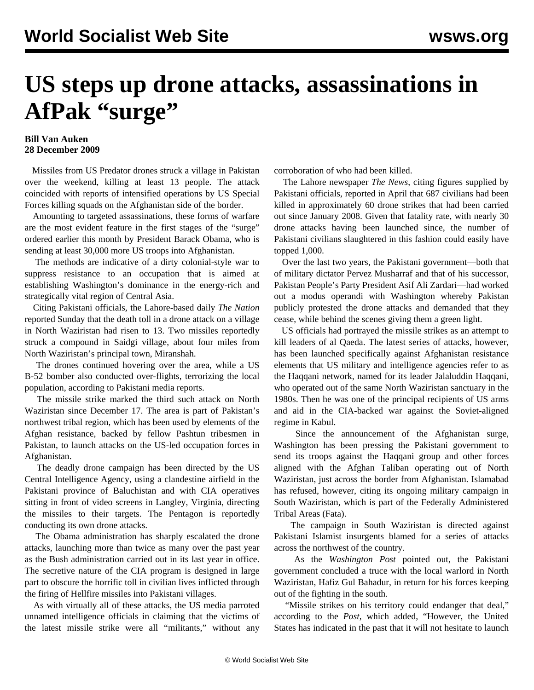## **US steps up drone attacks, assassinations in AfPak "surge"**

## **Bill Van Auken 28 December 2009**

 Missiles from US Predator drones struck a village in Pakistan over the weekend, killing at least 13 people. The attack coincided with reports of intensified operations by US Special Forces killing squads on the Afghanistan side of the border.

 Amounting to targeted assassinations, these forms of warfare are the most evident feature in the first stages of the "surge" ordered earlier this month by President Barack Obama, who is sending at least 30,000 more US troops into Afghanistan.

 The methods are indicative of a dirty colonial-style war to suppress resistance to an occupation that is aimed at establishing Washington's dominance in the energy-rich and strategically vital region of Central Asia.

 Citing Pakistani officials, the Lahore-based daily *The Nation* reported Sunday that the death toll in a drone attack on a village in North Waziristan had risen to 13. Two missiles reportedly struck a compound in Saidgi village, about four miles from North Waziristan's principal town, Miranshah.

 The drones continued hovering over the area, while a US B-52 bomber also conducted over-flights, terrorizing the local population, according to Pakistani media reports.

 The missile strike marked the third such attack on North Waziristan since December 17. The area is part of Pakistan's northwest tribal region, which has been used by elements of the Afghan resistance, backed by fellow Pashtun tribesmen in Pakistan, to launch attacks on the US-led occupation forces in Afghanistan.

 The deadly drone campaign has been directed by the US Central Intelligence Agency, using a clandestine airfield in the Pakistani province of Baluchistan and with CIA operatives sitting in front of video screens in Langley, Virginia, directing the missiles to their targets. The Pentagon is reportedly conducting its own drone attacks.

 The Obama administration has sharply escalated the drone attacks, launching more than twice as many over the past year as the Bush administration carried out in its last year in office. The secretive nature of the CIA program is designed in large part to obscure the horrific toll in civilian lives inflicted through the firing of Hellfire missiles into Pakistani villages.

 As with virtually all of these attacks, the US media parroted unnamed intelligence officials in claiming that the victims of the latest missile strike were all "militants," without any corroboration of who had been killed.

 The Lahore newspaper *The News*, citing figures supplied by Pakistani officials, reported in April that 687 civilians had been killed in approximately 60 drone strikes that had been carried out since January 2008. Given that fatality rate, with nearly 30 drone attacks having been launched since, the number of Pakistani civilians slaughtered in this fashion could easily have topped 1,000.

 Over the last two years, the Pakistani government—both that of military dictator Pervez Musharraf and that of his successor, Pakistan People's Party President Asif Ali Zardari—had worked out a modus operandi with Washington whereby Pakistan publicly protested the drone attacks and demanded that they cease, while behind the scenes giving them a green light.

 US officials had portrayed the missile strikes as an attempt to kill leaders of al Qaeda. The latest series of attacks, however, has been launched specifically against Afghanistan resistance elements that US military and intelligence agencies refer to as the Haqqani network, named for its leader Jalaluddin Haqqani, who operated out of the same North Waziristan sanctuary in the 1980s. Then he was one of the principal recipients of US arms and aid in the CIA-backed war against the Soviet-aligned regime in Kabul.

 Since the announcement of the Afghanistan surge, Washington has been pressing the Pakistani government to send its troops against the Haqqani group and other forces aligned with the Afghan Taliban operating out of North Waziristan, just across the border from Afghanistan. Islamabad has refused, however, citing its ongoing military campaign in South Waziristan, which is part of the Federally Administered Tribal Areas (Fata).

 The campaign in South Waziristan is directed against Pakistani Islamist insurgents blamed for a series of attacks across the northwest of the country.

 As the *Washington Post* pointed out, the Pakistani government concluded a truce with the local warlord in North Waziristan, Hafiz Gul Bahadur, in return for his forces keeping out of the fighting in the south.

 "Missile strikes on his territory could endanger that deal," according to the *Post*, which added, "However, the United States has indicated in the past that it will not hesitate to launch